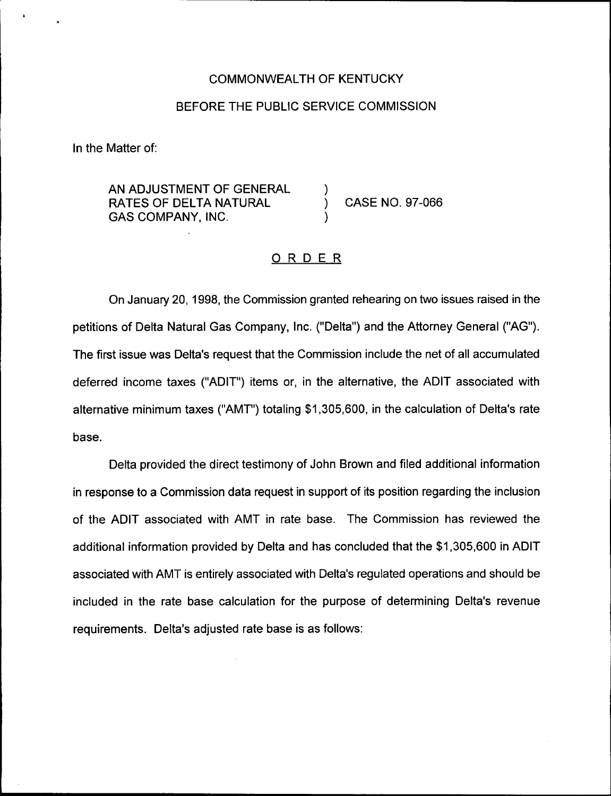#### COMMONWEALTH OF KENTUCKY

#### BEFORE THE PUBLIC SERVICE COMMISSION

In the Matter of:

AN ADJUSTMENT OF GENERAL RATES OF DELTA NATURAL GAS COMPANY, INC.

) CASE NO. 97-066

#### ORDER

)

)

On January 20, 1998, the Commission granted rehearing on two issues raised in the petitions of Delta Natural Gas Company, Inc. ("Delta") and the Attorney General ("AG"). The first issue was Delta's request that the Commission include the net of all accumulated deferred income taxes ("ADIT") items or, in the alternative, the ADIT associated with alternative minimum taxes ("AMT") totaling \$1,305,600, in the calculation of Delta's rate base.

Delta provided the direct testimony of John Brown and filed additional information in response to a Commission data request in support of its position regarding the inclusion of the ADIT associated with AMT in rate base. The Commission has reviewed the additional information provided by Delta and has concluded that the \$1,305,600 in ADIT associated with AMT is entirely associated with Delta's regulated operations and should be included in the rate base calculation for the purpose of determining Delta's revenue requirements. Delta's adjusted rate base is as follows: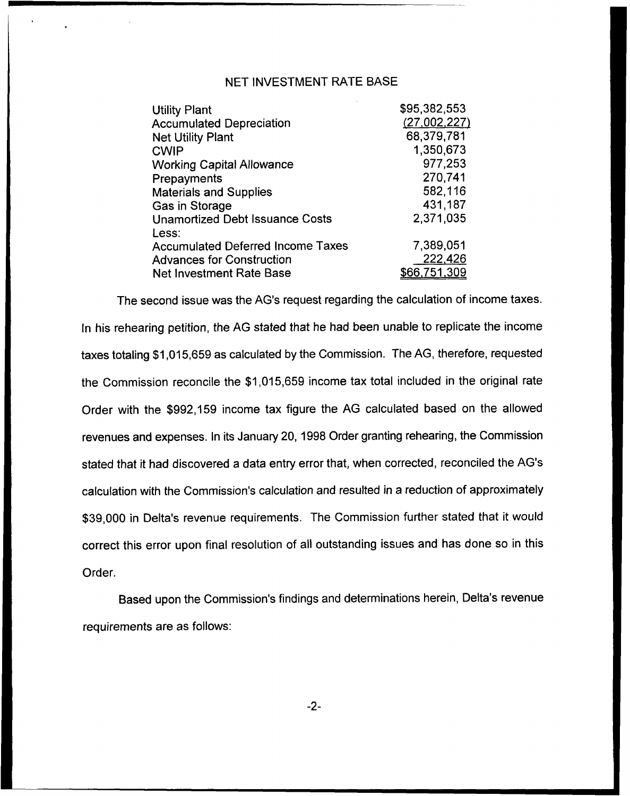#### NET INVESTMENT RATE BASE

| <b>Utility Plant</b>                     | \$95,382,553 |
|------------------------------------------|--------------|
| <b>Accumulated Depreciation</b>          | (27,002,227) |
| <b>Net Utility Plant</b>                 | 68,379,781   |
| <b>CWIP</b>                              | 1,350,673    |
| <b>Working Capital Allowance</b>         | 977,253      |
| Prepayments                              | 270,741      |
| <b>Materials and Supplies</b>            | 582,116      |
| Gas in Storage                           | 431,187      |
| <b>Unamortized Debt Issuance Costs</b>   | 2,371,035    |
| Less:                                    |              |
| <b>Accumulated Deferred Income Taxes</b> | 7,389,051    |
| <b>Advances for Construction</b>         | 222,426      |
| <b>Net Investment Rate Base</b>          | \$66,751,309 |

The second issue was the AG's request regarding the calculation of income taxes. In his rehearing petition, the AG stated that he had been unable to replicate the income taxes totaling \$1,015,659 as calculated by the Commission. The AG, therefore, requested the Commission reconcile the \$1,015,659 income tax total included in the original rate Order with the \$992,159 income tax figure the AG calculated based on the allowed revenues and expenses. In its January 20, 1998 Order granting rehearing, the Commission stated that it had discovered a data entry error that, when corrected, reconciled the AG's calculation with the Commission's calculation and resulted in a reduction of approximately \$39,000 in Delta's revenue requirements. The Commission further stated that it would correct this error upon final resolution of all outstanding issues and has done so in this Order.

Based upon the Commission's findings and determinations herein, Delta's revenue requirements are as follows: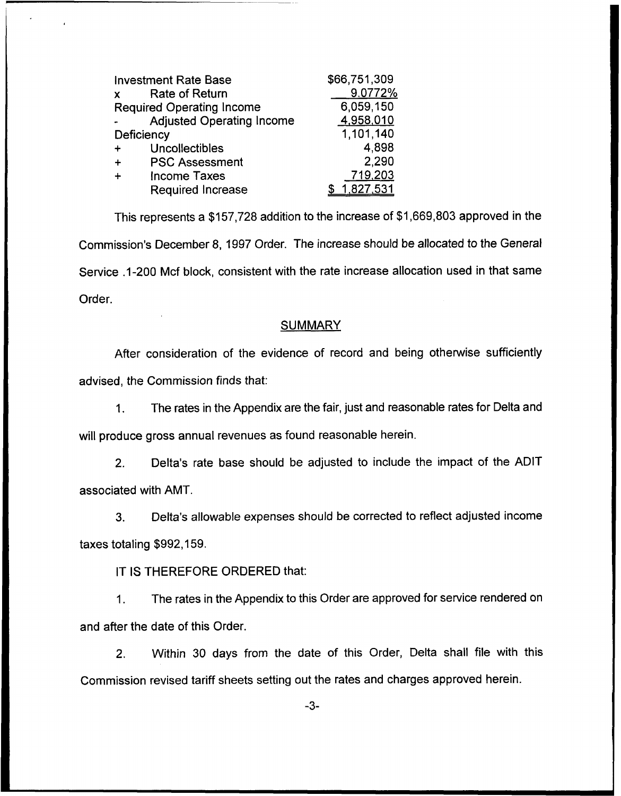| <b>Investment Rate Base</b>          | \$66,751,309 |
|--------------------------------------|--------------|
| <b>Rate of Return</b><br>$\mathbf x$ | 9.0772%      |
| <b>Required Operating Income</b>     | 6,059,150    |
| <b>Adjusted Operating Income</b>     | 4,958,010    |
| Deficiency                           | 1,101,140    |
| Uncollectibles<br>$\ddot{}$          | 4,898        |
| <b>PSC Assessment</b>                | 2,290        |
| <b>Income Taxes</b>                  | 719,203      |
| <b>Required Increase</b>             | 1,827,531    |

This represents a \$157,728 addition to the increase of \$1,669,803 approved in the Commission's December 8, 1997 Order. The increase should be allocated to the General Service .1-200 Mcf block, consistent with the rate increase allocation used in that same Order.

#### SUMMARY

After consideration of the evidence of record and being otherwise sufficiently advised, the Commission finds that:

The rates in the Appendix are the fair, just and reasonable rates for Delta and  $1.$ will produce gross annual revenues as found reasonable herein.

2. Delta's rate base should be adjusted to include the impact of the ADIT associated with AMT.

3. Delta's allowable expenses should be corrected to reflect adjusted income taxes totaling \$992,159.

IT IS THEREFORE ORDERED that:

1. The rates in the Appendix to this Order are approved for service rendered on and after the date of this Order.

2. Within 30 days from the date of this Order, Delta shall file with this Commission revised tariff sheets setting out the rates and charges approved herein.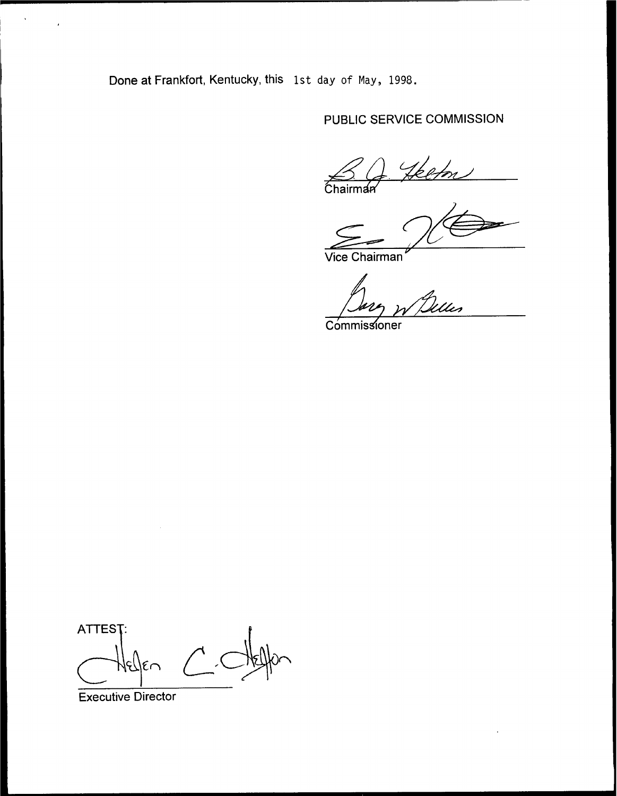Done at Frankfort, Kentucky, this 1st day of Nay, 1998.

# PUBLIC SERVICE COMMISSION

ketn **Chairman** 

Vice Chairman

Ues

**Commissioner** 

ATTEST:  $\epsilon$ n

Executive Director